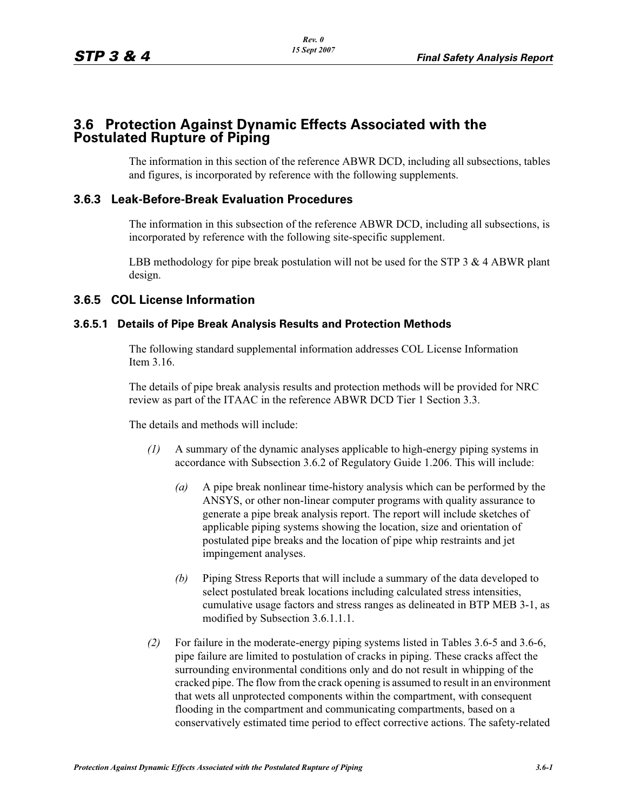# **3.6 Protection Against Dynamic Effects Associated with the Postulated Rupture of Piping**

The information in this section of the reference ABWR DCD, including all subsections, tables and figures, is incorporated by reference with the following supplements.

## **3.6.3 Leak-Before-Break Evaluation Procedures**

The information in this subsection of the reference ABWR DCD, including all subsections, is incorporated by reference with the following site-specific supplement.

LBB methodology for pipe break postulation will not be used for the STP  $3 \& 4$  ABWR plant design.

## **3.6.5 COL License Information**

#### **3.6.5.1 Details of Pipe Break Analysis Results and Protection Methods**

The following standard supplemental information addresses COL License Information Item 3.16.

The details of pipe break analysis results and protection methods will be provided for NRC review as part of the ITAAC in the reference ABWR DCD Tier 1 Section 3.3.

The details and methods will include:

- *(1)* A summary of the dynamic analyses applicable to high-energy piping systems in accordance with Subsection 3.6.2 of Regulatory Guide 1.206. This will include:
	- *(a)* A pipe break nonlinear time-history analysis which can be performed by the ANSYS, or other non-linear computer programs with quality assurance to generate a pipe break analysis report. The report will include sketches of applicable piping systems showing the location, size and orientation of postulated pipe breaks and the location of pipe whip restraints and jet impingement analyses.
	- *(b)* Piping Stress Reports that will include a summary of the data developed to select postulated break locations including calculated stress intensities, cumulative usage factors and stress ranges as delineated in BTP MEB 3-1, as modified by Subsection 3.6.1.1.1.
- *(2)* For failure in the moderate-energy piping systems listed in Tables 3.6-5 and 3.6-6, pipe failure are limited to postulation of cracks in piping. These cracks affect the surrounding environmental conditions only and do not result in whipping of the cracked pipe. The flow from the crack opening is assumed to result in an environment that wets all unprotected components within the compartment, with consequent flooding in the compartment and communicating compartments, based on a conservatively estimated time period to effect corrective actions. The safety-related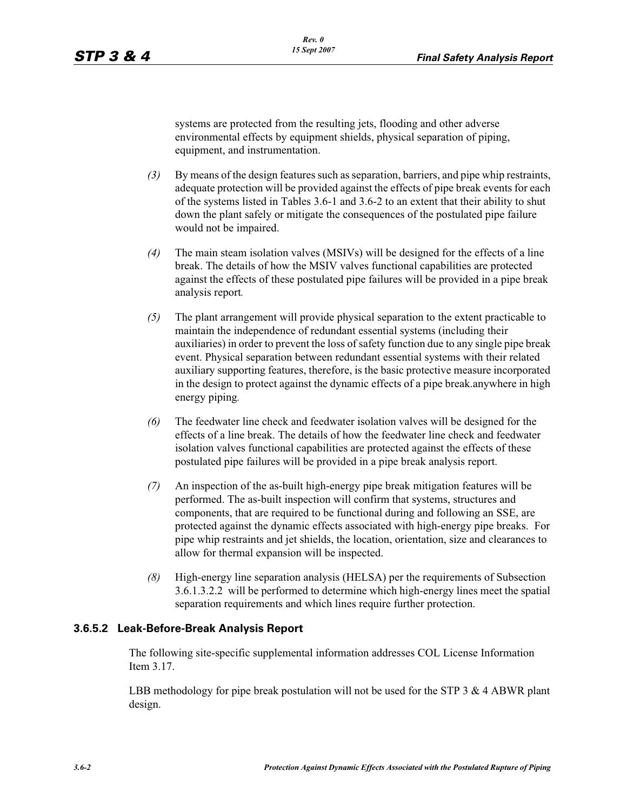systems are protected from the resulting jets, flooding and other adverse environmental effects by equipment shields, physical separation of piping, equipment, and instrumentation.

- *(3)* By means of the design features such as separation, barriers, and pipe whip restraints, adequate protection will be provided against the effects of pipe break events for each of the systems listed in Tables 3.6-1 and 3.6-2 to an extent that their ability to shut down the plant safely or mitigate the consequences of the postulated pipe failure would not be impaired.
- *(4)* The main steam isolation valves (MSIVs) will be designed for the effects of a line break. The details of how the MSIV valves functional capabilities are protected against the effects of these postulated pipe failures will be provided in a pipe break analysis report*.*
- *(5)* The plant arrangement will provide physical separation to the extent practicable to maintain the independence of redundant essential systems (including their auxiliaries) in order to prevent the loss of safety function due to any single pipe break event. Physical separation between redundant essential systems with their related auxiliary supporting features, therefore, is the basic protective measure incorporated in the design to protect against the dynamic effects of a pipe break.anywhere in high energy piping*.*
- *(6)* The feedwater line check and feedwater isolation valves will be designed for the effects of a line break. The details of how the feedwater line check and feedwater isolation valves functional capabilities are protected against the effects of these postulated pipe failures will be provided in a pipe break analysis report.
- *(7)* An inspection of the as-built high-energy pipe break mitigation features will be performed. The as-built inspection will confirm that systems, structures and components, that are required to be functional during and following an SSE, are protected against the dynamic effects associated with high-energy pipe breaks. For pipe whip restraints and jet shields, the location, orientation, size and clearances to allow for thermal expansion will be inspected.
- *(8)* High-energy line separation analysis (HELSA) per the requirements of Subsection 3.6.1.3.2.2 will be performed to determine which high-energy lines meet the spatial separation requirements and which lines require further protection.

#### **3.6.5.2 Leak-Before-Break Analysis Report**

The following site-specific supplemental information addresses COL License Information Item 3.17.

LBB methodology for pipe break postulation will not be used for the STP  $3 \& 4$  ABWR plant design.